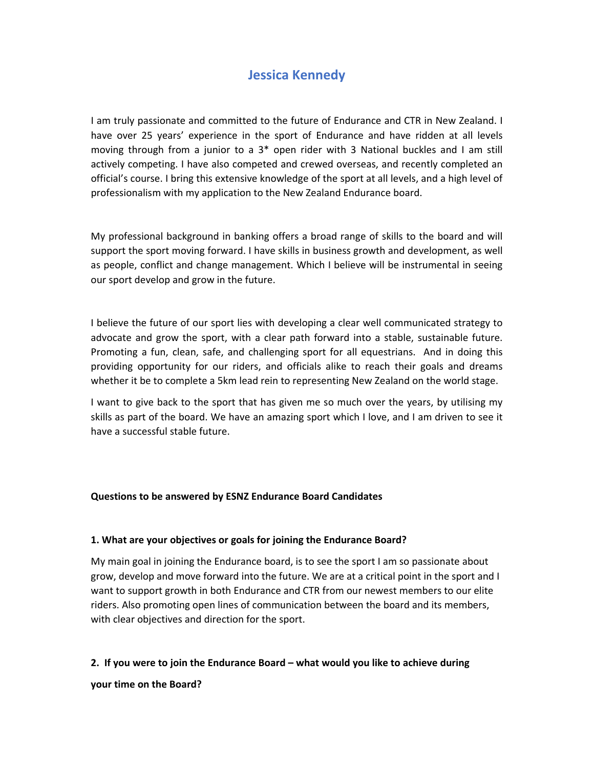# **Jessica Kennedy**

I am truly passionate and committed to the future of Endurance and CTR in New Zealand. I have over 25 years' experience in the sport of Endurance and have ridden at all levels moving through from a junior to a 3<sup>\*</sup> open rider with 3 National buckles and I am still actively competing. I have also competed and crewed overseas, and recently completed an official's course. I bring this extensive knowledge of the sport at all levels, and a high level of professionalism with my application to the New Zealand Endurance board.

My professional background in banking offers a broad range of skills to the board and will support the sport moving forward. I have skills in business growth and development, as well as people, conflict and change management. Which I believe will be instrumental in seeing our sport develop and grow in the future.

I believe the future of our sport lies with developing a clear well communicated strategy to advocate and grow the sport, with a clear path forward into a stable, sustainable future. Promoting a fun, clean, safe, and challenging sport for all equestrians. And in doing this providing opportunity for our riders, and officials alike to reach their goals and dreams whether it be to complete a 5km lead rein to representing New Zealand on the world stage.

I want to give back to the sport that has given me so much over the years, by utilising my skills as part of the board. We have an amazing sport which I love, and I am driven to see it have a successful stable future.

#### **Questions to be answered by ESNZ Endurance Board Candidates**

#### **1. What are your objectives or goals for joining the Endurance Board?**

My main goal in joining the Endurance board, is to see the sport I am so passionate about grow, develop and move forward into the future. We are at a critical point in the sport and I want to support growth in both Endurance and CTR from our newest members to our elite riders. Also promoting open lines of communication between the board and its members, with clear objectives and direction for the sport.

#### **2. If you were to join the Endurance Board – what would you like to achieve during**

**your time on the Board?**